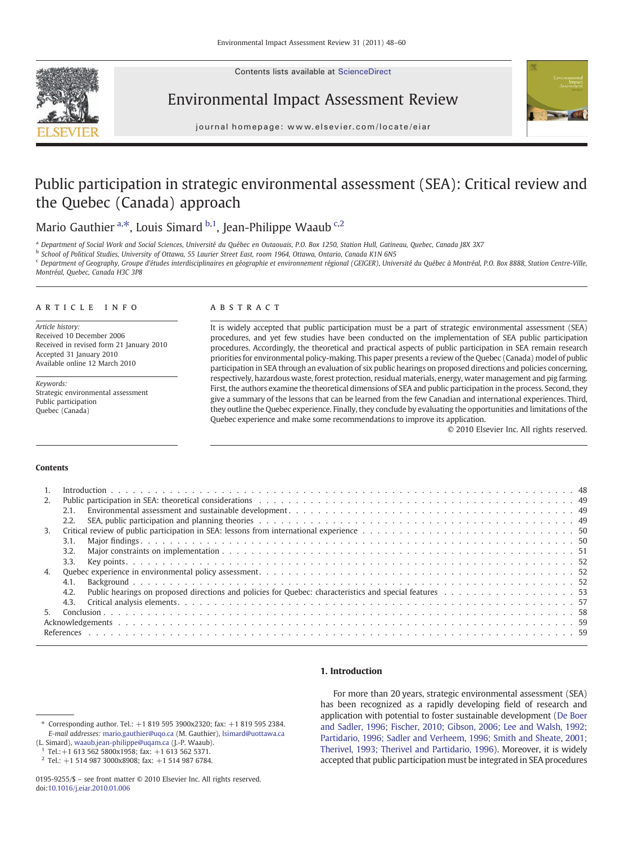Contents lists available at ScienceDirect



Environmental Impact Assessment Review



 $j$  or expression e p a g e  $\alpha$  is even in the complete  $\alpha$ 

# Public participation in strategic environmental assessment (SEA): Critical review and the Quebec (Canada) approach

## Mario Gauthier <sup>a,\*</sup>, Louis Simard <sup>b,1</sup>, Jean-Philippe Waaub <sup>c,2</sup>

<sup>a</sup> Department of Social Work and Social Sciences, Université du Québec en Outaouais, P.O. Box 1250, Station Hull, Gatineau, Quebec, Canada J8X 3X7

<sup>b</sup> School of Political Studies, University of Ottawa, 55 Laurier Street East, room 1964, Ottawa, Ontario, Canada K1N 6N5

<sup>c</sup> Department of Geography, Groupe d'études interdisciplinaires en géographie et environnement régional (GEIGER), Université du Québec à Montréal, P.O. Box 8888, Station Centre-Ville, Montréal, Quebec, Canada H3C 3P8

#### article info abstract

Article history: Received 10 December 2006 Received in revised form 21 January 2010 Accepted 31 January 2010 Available online 12 March 2010

Keywords: Strategic environmental assessment Public participation Quebec (Canada)

It is widely accepted that public participation must be a part of strategic environmental assessment (SEA) procedures, and yet few studies have been conducted on the implementation of SEA public participation procedures. Accordingly, the theoretical and practical aspects of public participation in SEA remain research priorities for environmental policy-making. This paper presents a review of the Quebec (Canada) model of public participation in SEA through an evaluation of six public hearings on proposed directions and policies concerning, respectively, hazardous waste, forest protection, residual materials, energy, water management and pig farming. First, the authors examine the theoretical dimensions of SEA and public participation in the process. Second, they give a summary of the lessons that can be learned from the few Canadian and international experiences. Third, they outline the Quebec experience. Finally, they conclude by evaluating the opportunities and limitations of the Quebec experience and make some recommendations to improve its application.

© 2010 Elsevier Inc. All rights reserved.

#### **Contents**

| 2. |      |  |  |  |  |  |  |  |  |
|----|------|--|--|--|--|--|--|--|--|
|    | 2.1. |  |  |  |  |  |  |  |  |
|    | 2.2. |  |  |  |  |  |  |  |  |
| 3. |      |  |  |  |  |  |  |  |  |
|    | 3.1. |  |  |  |  |  |  |  |  |
|    |      |  |  |  |  |  |  |  |  |
|    | 3.3. |  |  |  |  |  |  |  |  |
| 4. |      |  |  |  |  |  |  |  |  |
|    | 4.1. |  |  |  |  |  |  |  |  |
|    | 4.2. |  |  |  |  |  |  |  |  |
|    | 4.3. |  |  |  |  |  |  |  |  |
|    |      |  |  |  |  |  |  |  |  |
|    |      |  |  |  |  |  |  |  |  |
|    |      |  |  |  |  |  |  |  |  |
|    |      |  |  |  |  |  |  |  |  |

#### 1. Introduction

⁎ Corresponding author. Tel.: +1 819 595 3900x2320; fax: +1 819 595 2384. E-mail addresses: [mario.gauthier@uqo.ca](mailto:mario.gauthier@uqo.ca) (M. Gauthier), [lsimard@uottawa.ca](mailto:lsimard@uottawa.ca) (L. Simard), [waaub.jean-philippe@uqam.ca](mailto:waaub.jean-philippe@uqam.ca) (J.-P. Waaub).

- $1$  Tel.: +1 613 562 5800x1958; fax: +1 613 562 5371.
- $2$  Tel.: +1 514 987 3000x8908; fax: +1 514 987 6784.

For more than 20 years, strategic environmental assessment (SEA) has been recognized as a rapidly developing field of research and application with potential to foster sustainable development [\(De Boer](#page-11-0) [and Sadler, 1996;](#page-11-0) [Fischer, 2010; Gibson, 2006; Lee and Walsh, 1992;](#page-11-0) [Partidario, 1996; Sadler and Verheem, 1996; Smith and Sheate, 2001;](#page-11-0) [Therivel, 1993; Therivel and Partidario, 1996](#page-11-0)). Moreover, it is widely accepted that public participation must be integrated in SEA procedures

<sup>0195-9255/\$</sup> – see front matter © 2010 Elsevier Inc. All rights reserved. doi[:10.1016/j.eiar.2010.01.006](http://dx.doi.org/10.1016/j.eiar.2010.01.006)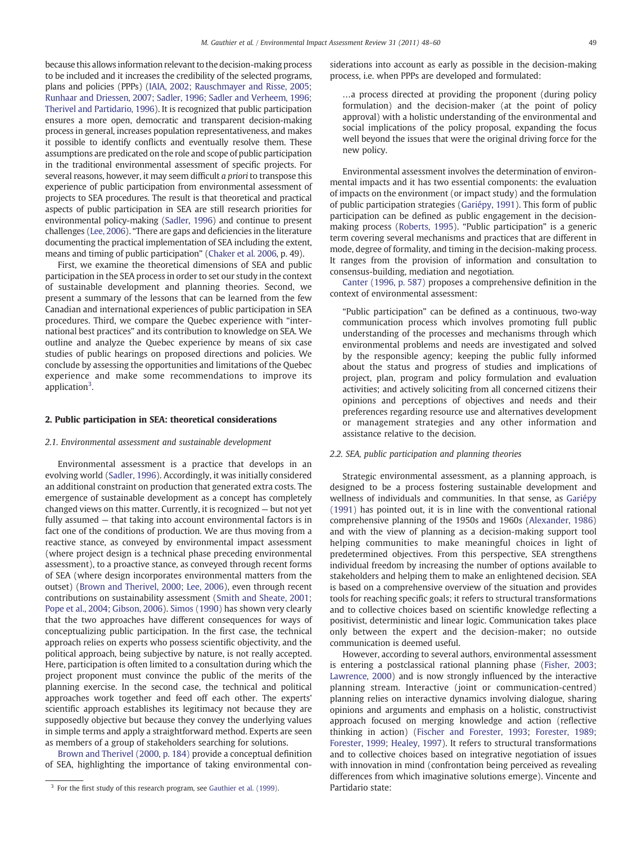because this allows information relevant to the decision-making process to be included and it increases the credibility of the selected programs, plans and policies (PPPs) [\(IAIA, 2002; Rauschmayer and Risse, 2005;](#page-11-0) [Runhaar and Driessen, 2007; Sadler, 1996; Sadler and Verheem, 1996;](#page-11-0) [Therivel and Partidario, 1996](#page-11-0)). It is recognized that public participation ensures a more open, democratic and transparent decision-making process in general, increases population representativeness, and makes it possible to identify conflicts and eventually resolve them. These assumptions are predicated on the role and scope of public participation in the traditional environmental assessment of specific projects. For several reasons, however, it may seem difficult a priori to transpose this experience of public participation from environmental assessment of projects to SEA procedures. The result is that theoretical and practical aspects of public participation in SEA are still research priorities for environmental policy-making [\(Sadler, 1996\)](#page-12-0) and continue to present challenges ([Lee, 2006\)](#page-11-0). "There are gaps and deficiencies in the literature documenting the practical implementation of SEA including the extent, means and timing of public participation" [\(Chaker et al. 2006](#page-11-0), p. 49).

First, we examine the theoretical dimensions of SEA and public participation in the SEA process in order to set our study in the context of sustainable development and planning theories. Second, we present a summary of the lessons that can be learned from the few Canadian and international experiences of public participation in SEA procedures. Third, we compare the Quebec experience with "international best practices" and its contribution to knowledge on SEA. We outline and analyze the Quebec experience by means of six case studies of public hearings on proposed directions and policies. We conclude by assessing the opportunities and limitations of the Quebec experience and make some recommendations to improve its application<sup>3</sup>.

#### 2. Public participation in SEA: theoretical considerations

### 2.1. Environmental assessment and sustainable development

Environmental assessment is a practice that develops in an evolving world [\(Sadler, 1996\)](#page-12-0). Accordingly, it was initially considered an additional constraint on production that generated extra costs. The emergence of sustainable development as a concept has completely changed views on this matter. Currently, it is recognized — but not yet fully assumed — that taking into account environmental factors is in fact one of the conditions of production. We are thus moving from a reactive stance, as conveyed by environmental impact assessment (where project design is a technical phase preceding environmental assessment), to a proactive stance, as conveyed through recent forms of SEA (where design incorporates environmental matters from the outset) ([Brown and Therivel, 2000; Lee, 2006\)](#page-11-0), even through recent contributions on sustainability assessment ([Smith and Sheate, 2001;](#page-12-0) [Pope et al., 2004; Gibson, 2006](#page-12-0)). [Simos \(1990\)](#page-12-0) has shown very clearly that the two approaches have different consequences for ways of conceptualizing public participation. In the first case, the technical approach relies on experts who possess scientific objectivity, and the political approach, being subjective by nature, is not really accepted. Here, participation is often limited to a consultation during which the project proponent must convince the public of the merits of the planning exercise. In the second case, the technical and political approaches work together and feed off each other. The experts' scientific approach establishes its legitimacy not because they are supposedly objective but because they convey the underlying values in simple terms and apply a straightforward method. Experts are seen as members of a group of stakeholders searching for solutions.

[Brown and Therivel \(2000, p. 184\)](#page-11-0) provide a conceptual definition of SEA, highlighting the importance of taking environmental considerations into account as early as possible in the decision-making process, i.e. when PPPs are developed and formulated:

…a process directed at providing the proponent (during policy formulation) and the decision-maker (at the point of policy approval) with a holistic understanding of the environmental and social implications of the policy proposal, expanding the focus well beyond the issues that were the original driving force for the new policy.

Environmental assessment involves the determination of environmental impacts and it has two essential components: the evaluation of impacts on the environment (or impact study) and the formulation of public participation strategies [\(Gariépy, 1991\)](#page-11-0). This form of public participation can be defined as public engagement in the decisionmaking process [\(Roberts, 1995\)](#page-12-0). "Public participation" is a generic term covering several mechanisms and practices that are different in mode, degree of formality, and timing in the decision-making process. It ranges from the provision of information and consultation to consensus-building, mediation and negotiation.

[Canter \(1996, p. 587\)](#page-11-0) proposes a comprehensive definition in the context of environmental assessment:

"Public participation" can be defined as a continuous, two-way communication process which involves promoting full public understanding of the processes and mechanisms through which environmental problems and needs are investigated and solved by the responsible agency; keeping the public fully informed about the status and progress of studies and implications of project, plan, program and policy formulation and evaluation activities; and actively soliciting from all concerned citizens their opinions and perceptions of objectives and needs and their preferences regarding resource use and alternatives development or management strategies and any other information and assistance relative to the decision.

#### 2.2. SEA, public participation and planning theories

Strategic environmental assessment, as a planning approach, is designed to be a process fostering sustainable development and wellness of individuals and communities. In that sense, as [Gariépy](#page-11-0) [\(1991\)](#page-11-0) has pointed out, it is in line with the conventional rational comprehensive planning of the 1950s and 1960s [\(Alexander, 1986](#page-11-0)) and with the view of planning as a decision-making support tool helping communities to make meaningful choices in light of predetermined objectives. From this perspective, SEA strengthens individual freedom by increasing the number of options available to stakeholders and helping them to make an enlightened decision. SEA is based on a comprehensive overview of the situation and provides tools for reaching specific goals; it refers to structural transformations and to collective choices based on scientific knowledge reflecting a positivist, deterministic and linear logic. Communication takes place only between the expert and the decision-maker; no outside communication is deemed useful.

However, according to several authors, environmental assessment is entering a postclassical rational planning phase [\(Fisher, 2003;](#page-11-0) [Lawrence, 2000\)](#page-11-0) and is now strongly influenced by the interactive planning stream. Interactive (joint or communication-centred) planning relies on interactive dynamics involving dialogue, sharing opinions and arguments and emphasis on a holistic, constructivist approach focused on merging knowledge and action (reflective thinking in action) ([Fischer and Forester, 1993](#page-11-0); [Forester, 1989;](#page-11-0) [Forester, 1999; Healey, 1997\)](#page-11-0). It refers to structural transformations and to collective choices based on integrative negotiation of issues with innovation in mind (confrontation being perceived as revealing differences from which imaginative solutions emerge). Vincente and

<sup>&</sup>lt;sup>3</sup> For the first study of this research program, see [Gauthier et al. \(1999\)](#page-11-0). Partidario state: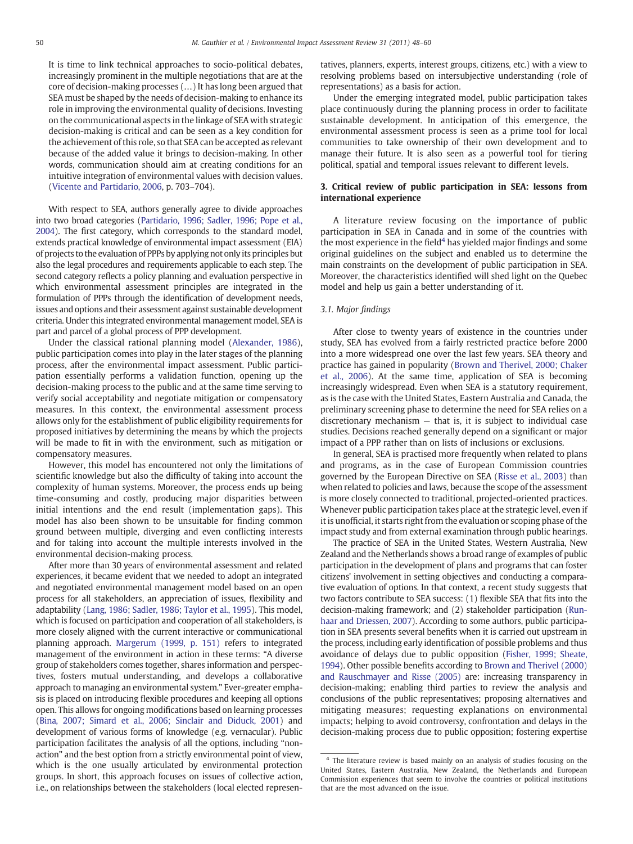It is time to link technical approaches to socio-political debates, increasingly prominent in the multiple negotiations that are at the core of decision-making processes (…) It has long been argued that SEA must be shaped by the needs of decision-making to enhance its role in improving the environmental quality of decisions. Investing on the communicational aspects in the linkage of SEA with strategic decision-making is critical and can be seen as a key condition for the achievement of this role, so that SEA can be accepted as relevant because of the added value it brings to decision-making. In other words, communication should aim at creating conditions for an intuitive integration of environmental values with decision values. [\(Vicente and Partidario, 2006](#page-12-0), p. 703–704).

With respect to SEA, authors generally agree to divide approaches into two broad categories ([Partidario, 1996; Sadler, 1996; Pope et al.,](#page-11-0) [2004](#page-11-0)). The first category, which corresponds to the standard model, extends practical knowledge of environmental impact assessment (EIA) of projects to the evaluation of PPPs by applying not only its principles but also the legal procedures and requirements applicable to each step. The second category reflects a policy planning and evaluation perspective in which environmental assessment principles are integrated in the formulation of PPPs through the identification of development needs, issues and options and their assessment against sustainable development criteria. Under this integrated environmental management model, SEA is part and parcel of a global process of PPP development.

Under the classical rational planning model ([Alexander, 1986](#page-11-0)), public participation comes into play in the later stages of the planning process, after the environmental impact assessment. Public participation essentially performs a validation function, opening up the decision-making process to the public and at the same time serving to verify social acceptability and negotiate mitigation or compensatory measures. In this context, the environmental assessment process allows only for the establishment of public eligibility requirements for proposed initiatives by determining the means by which the projects will be made to fit in with the environment, such as mitigation or compensatory measures.

However, this model has encountered not only the limitations of scientific knowledge but also the difficulty of taking into account the complexity of human systems. Moreover, the process ends up being time-consuming and costly, producing major disparities between initial intentions and the end result (implementation gaps). This model has also been shown to be unsuitable for finding common ground between multiple, diverging and even conflicting interests and for taking into account the multiple interests involved in the environmental decision-making process.

After more than 30 years of environmental assessment and related experiences, it became evident that we needed to adopt an integrated and negotiated environmental management model based on an open process for all stakeholders, an appreciation of issues, flexibility and adaptability ([Lang, 1986; Sadler, 1986; Taylor et al., 1995](#page-11-0)). This model, which is focused on participation and cooperation of all stakeholders, is more closely aligned with the current interactive or communicational planning approach. [Margerum \(1999, p. 151\)](#page-11-0) refers to integrated management of the environment in action in these terms: "A diverse group of stakeholders comes together, shares information and perspectives, fosters mutual understanding, and develops a collaborative approach to managing an environmental system." Ever-greater emphasis is placed on introducing flexible procedures and keeping all options open. This allows for ongoing modifications based on learning processes [\(Bina, 2007; Simard et al., 2006; Sinclair and Diduck, 2001](#page-11-0)) and development of various forms of knowledge (e.g. vernacular). Public participation facilitates the analysis of all the options, including "nonaction" and the best option from a strictly environmental point of view, which is the one usually articulated by environmental protection groups. In short, this approach focuses on issues of collective action, i.e., on relationships between the stakeholders (local elected representatives, planners, experts, interest groups, citizens, etc.) with a view to resolving problems based on intersubjective understanding (role of representations) as a basis for action.

Under the emerging integrated model, public participation takes place continuously during the planning process in order to facilitate sustainable development. In anticipation of this emergence, the environmental assessment process is seen as a prime tool for local communities to take ownership of their own development and to manage their future. It is also seen as a powerful tool for tiering political, spatial and temporal issues relevant to different levels.

### 3. Critical review of public participation in SEA: lessons from international experience

A literature review focusing on the importance of public participation in SEA in Canada and in some of the countries with the most experience in the field $4$  has yielded major findings and some original guidelines on the subject and enabled us to determine the main constraints on the development of public participation in SEA. Moreover, the characteristics identified will shed light on the Quebec model and help us gain a better understanding of it.

#### 3.1. Major findings

After close to twenty years of existence in the countries under study, SEA has evolved from a fairly restricted practice before 2000 into a more widespread one over the last few years. SEA theory and practice has gained in popularity ([Brown and Therivel, 2000; Chaker](#page-11-0) [et al., 2006](#page-11-0)). At the same time, application of SEA is becoming increasingly widespread. Even when SEA is a statutory requirement, as is the case with the United States, Eastern Australia and Canada, the preliminary screening phase to determine the need for SEA relies on a  $discretionary mechanism - that is, it is subject to individual case$ studies. Decisions reached generally depend on a significant or major impact of a PPP rather than on lists of inclusions or exclusions.

In general, SEA is practised more frequently when related to plans and programs, as in the case of European Commission countries governed by the European Directive on SEA ([Risse et al., 2003](#page-12-0)) than when related to policies and laws, because the scope of the assessment is more closely connected to traditional, projected-oriented practices. Whenever public participation takes place at the strategic level, even if it is unofficial, it starts right from the evaluation or scoping phase of the impact study and from external examination through public hearings.

The practice of SEA in the United States, Western Australia, New Zealand and the Netherlands shows a broad range of examples of public participation in the development of plans and programs that can foster citizens' involvement in setting objectives and conducting a comparative evaluation of options. In that context, a recent study suggests that two factors contribute to SEA success: (1) flexible SEA that fits into the decision-making framework; and (2) stakeholder participation [\(Run](#page-12-0)[haar and Driessen, 2007](#page-12-0)). According to some authors, public participation in SEA presents several benefits when it is carried out upstream in the process, including early identification of possible problems and thus avoidance of delays due to public opposition [\(Fisher, 1999; Sheate,](#page-11-0) [1994\)](#page-11-0). Other possible benefits according to [Brown and Therivel \(2000\)](#page-11-0) [and Rauschmayer and Risse \(2005\)](#page-11-0) are: increasing transparency in decision-making; enabling third parties to review the analysis and conclusions of the public representatives; proposing alternatives and mitigating measures; requesting explanations on environmental impacts; helping to avoid controversy, confrontation and delays in the decision-making process due to public opposition; fostering expertise

<sup>&</sup>lt;sup>4</sup> The literature review is based mainly on an analysis of studies focusing on the United States, Eastern Australia, New Zealand, the Netherlands and European Commission experiences that seem to involve the countries or political institutions that are the most advanced on the issue.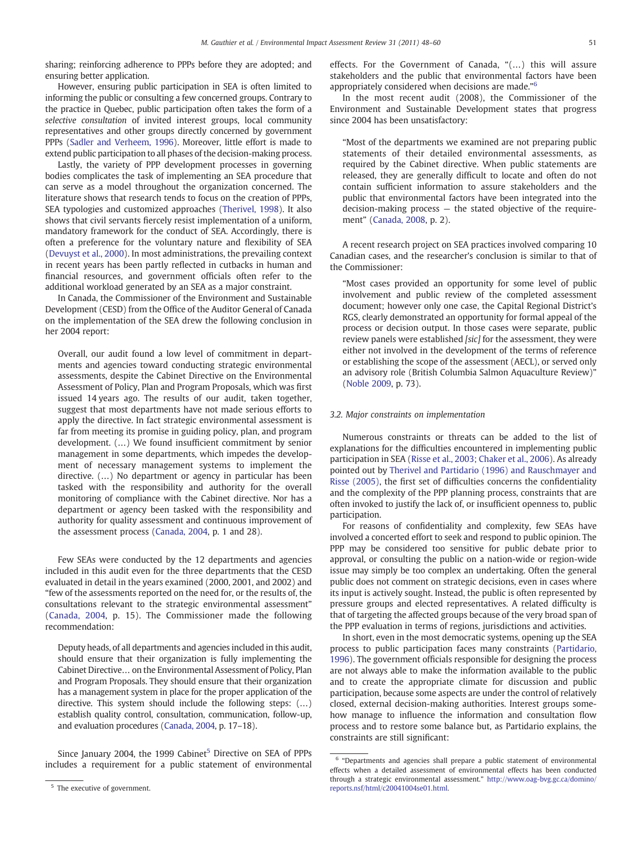sharing; reinforcing adherence to PPPs before they are adopted; and ensuring better application.

However, ensuring public participation in SEA is often limited to informing the public or consulting a few concerned groups. Contrary to the practice in Quebec, public participation often takes the form of a selective consultation of invited interest groups, local community representatives and other groups directly concerned by government PPPs ([Sadler and Verheem, 1996](#page-12-0)). Moreover, little effort is made to extend public participation to all phases of the decision-making process.

Lastly, the variety of PPP development processes in governing bodies complicates the task of implementing an SEA procedure that can serve as a model throughout the organization concerned. The literature shows that research tends to focus on the creation of PPPs, SEA typologies and customized approaches ([Therivel, 1998](#page-12-0)). It also shows that civil servants fiercely resist implementation of a uniform, mandatory framework for the conduct of SEA. Accordingly, there is often a preference for the voluntary nature and flexibility of SEA [\(Devuyst et al., 2000\)](#page-11-0). In most administrations, the prevailing context in recent years has been partly reflected in cutbacks in human and financial resources, and government officials often refer to the additional workload generated by an SEA as a major constraint.

In Canada, the Commissioner of the Environment and Sustainable Development (CESD) from the Office of the Auditor General of Canada on the implementation of the SEA drew the following conclusion in her 2004 report:

Overall, our audit found a low level of commitment in departments and agencies toward conducting strategic environmental assessments, despite the Cabinet Directive on the Environmental Assessment of Policy, Plan and Program Proposals, which was first issued 14 years ago. The results of our audit, taken together, suggest that most departments have not made serious efforts to apply the directive. In fact strategic environmental assessment is far from meeting its promise in guiding policy, plan, and program development. (…) We found insufficient commitment by senior management in some departments, which impedes the development of necessary management systems to implement the directive. (…) No department or agency in particular has been tasked with the responsibility and authority for the overall monitoring of compliance with the Cabinet directive. Nor has a department or agency been tasked with the responsibility and authority for quality assessment and continuous improvement of the assessment process [\(Canada, 2004](#page-11-0), p. 1 and 28).

Few SEAs were conducted by the 12 departments and agencies included in this audit even for the three departments that the CESD evaluated in detail in the years examined (2000, 2001, and 2002) and "few of the assessments reported on the need for, or the results of, the consultations relevant to the strategic environmental assessment" [\(Canada, 2004](#page-11-0), p. 15). The Commissioner made the following recommendation:

Deputy heads, of all departments and agencies included in this audit, should ensure that their organization is fully implementing the Cabinet Directive… on the Environmental Assessment of Policy, Plan and Program Proposals. They should ensure that their organization has a management system in place for the proper application of the directive. This system should include the following steps: (…) establish quality control, consultation, communication, follow-up, and evaluation procedures ([Canada, 2004](#page-11-0), p. 17–18).

Since January 2004, the 1999 Cabinet<sup>5</sup> Directive on SEA of PPPs includes a requirement for a public statement of environmental effects. For the Government of Canada, "(…) this will assure stakeholders and the public that environmental factors have been appropriately considered when decisions are made."<sup>6</sup>

In the most recent audit (2008), the Commissioner of the Environment and Sustainable Development states that progress since 2004 has been unsatisfactory:

"Most of the departments we examined are not preparing public statements of their detailed environmental assessments, as required by the Cabinet directive. When public statements are released, they are generally difficult to locate and often do not contain sufficient information to assure stakeholders and the public that environmental factors have been integrated into the decision-making process — the stated objective of the requirement" [\(Canada, 2008](#page-11-0), p. 2).

A recent research project on SEA practices involved comparing 10 Canadian cases, and the researcher's conclusion is similar to that of the Commissioner:

"Most cases provided an opportunity for some level of public involvement and public review of the completed assessment document; however only one case, the Capital Regional District's RGS, clearly demonstrated an opportunity for formal appeal of the process or decision output. In those cases were separate, public review panels were established [sic] for the assessment, they were either not involved in the development of the terms of reference or establishing the scope of the assessment (AECL), or served only an advisory role (British Columbia Salmon Aquaculture Review)" [\(Noble 2009](#page-11-0), p. 73).

#### 3.2. Major constraints on implementation

Numerous constraints or threats can be added to the list of explanations for the difficulties encountered in implementing public participation in SEA [\(Risse et al., 2003; Chaker et al., 2006](#page-12-0)). As already pointed out by [Therivel and Partidario \(1996\) and Rauschmayer and](#page-12-0) [Risse \(2005\)](#page-12-0), the first set of difficulties concerns the confidentiality and the complexity of the PPP planning process, constraints that are often invoked to justify the lack of, or insufficient openness to, public participation.

For reasons of confidentiality and complexity, few SEAs have involved a concerted effort to seek and respond to public opinion. The PPP may be considered too sensitive for public debate prior to approval, or consulting the public on a nation-wide or region-wide issue may simply be too complex an undertaking. Often the general public does not comment on strategic decisions, even in cases where its input is actively sought. Instead, the public is often represented by pressure groups and elected representatives. A related difficulty is that of targeting the affected groups because of the very broad span of the PPP evaluation in terms of regions, jurisdictions and activities.

In short, even in the most democratic systems, opening up the SEA process to public participation faces many constraints ([Partidario,](#page-11-0) [1996\)](#page-11-0). The government officials responsible for designing the process are not always able to make the information available to the public and to create the appropriate climate for discussion and public participation, because some aspects are under the control of relatively closed, external decision-making authorities. Interest groups somehow manage to influence the information and consultation flow process and to restore some balance but, as Partidario explains, the constraints are still significant:

<sup>5</sup> The executive of government.

<sup>6</sup> "Departments and agencies shall prepare a public statement of environmental effects when a detailed assessment of environmental effects has been conducted through a strategic environmental assessment." [http://www.oag-bvg.gc.ca/domino/](http://www.oag-bvg.gc.ca/domino/reports.nsf/html/c20041004se01.html) [reports.nsf/html/c20041004se01.html](http://www.oag-bvg.gc.ca/domino/reports.nsf/html/c20041004se01.html).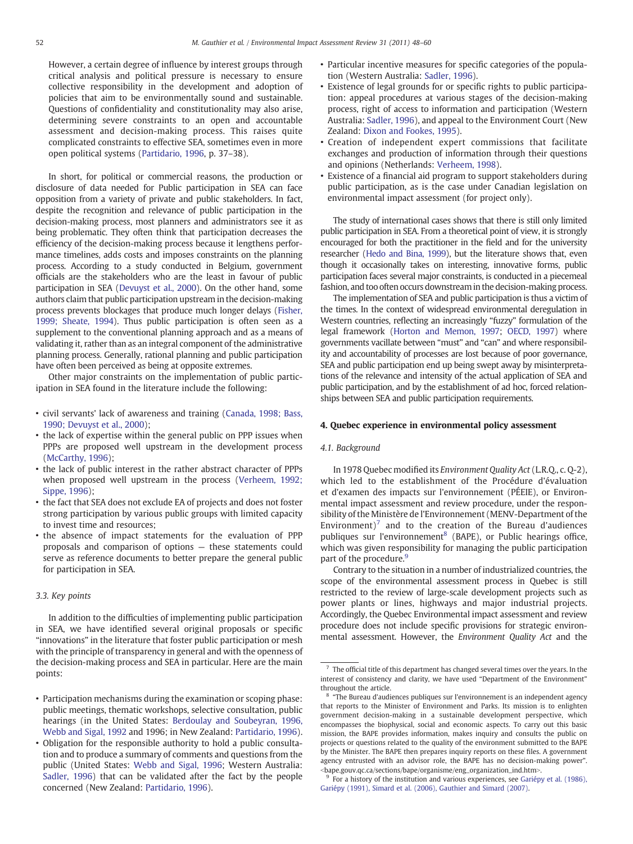However, a certain degree of influence by interest groups through critical analysis and political pressure is necessary to ensure collective responsibility in the development and adoption of policies that aim to be environmentally sound and sustainable. Questions of confidentiality and constitutionality may also arise, determining severe constraints to an open and accountable assessment and decision-making process. This raises quite complicated constraints to effective SEA, sometimes even in more open political systems ([Partidario, 1996](#page-11-0), p. 37–38).

In short, for political or commercial reasons, the production or disclosure of data needed for Public participation in SEA can face opposition from a variety of private and public stakeholders. In fact, despite the recognition and relevance of public participation in the decision-making process, most planners and administrators see it as being problematic. They often think that participation decreases the efficiency of the decision-making process because it lengthens performance timelines, adds costs and imposes constraints on the planning process. According to a study conducted in Belgium, government officials are the stakeholders who are the least in favour of public participation in SEA [\(Devuyst et al., 2000\)](#page-11-0). On the other hand, some authors claim that public participation upstream in the decision-making process prevents blockages that produce much longer delays ([Fisher,](#page-11-0) [1999; Sheate, 1994\)](#page-11-0). Thus public participation is often seen as a supplement to the conventional planning approach and as a means of validating it, rather than as an integral component of the administrative planning process. Generally, rational planning and public participation have often been perceived as being at opposite extremes.

Other major constraints on the implementation of public participation in SEA found in the literature include the following:

- civil servants' lack of awareness and training ([Canada, 1998; Bass,](#page-11-0) [1990; Devuyst et al., 2000\)](#page-11-0);
- the lack of expertise within the general public on PPP issues when PPPs are proposed well upstream in the development process ([McCarthy, 1996\)](#page-11-0);
- the lack of public interest in the rather abstract character of PPPs when proposed well upstream in the process ([Verheem, 1992;](#page-12-0) [Sippe, 1996\)](#page-12-0);
- the fact that SEA does not exclude EA of projects and does not foster strong participation by various public groups with limited capacity to invest time and resources;
- the absence of impact statements for the evaluation of PPP proposals and comparison of options — these statements could serve as reference documents to better prepare the general public for participation in SEA.

#### 3.3. Key points

In addition to the difficulties of implementing public participation in SEA, we have identified several original proposals or specific "innovations" in the literature that foster public participation or mesh with the principle of transparency in general and with the openness of the decision-making process and SEA in particular. Here are the main points:

- Particular incentive measures for specific categories of the population (Western Australia: [Sadler, 1996\)](#page-12-0).
- Existence of legal grounds for or specific rights to public participation: appeal procedures at various stages of the decision-making process, right of access to information and participation (Western Australia: [Sadler, 1996\)](#page-12-0), and appeal to the Environment Court (New Zealand: [Dixon and Fookes, 1995](#page-11-0)).
- Creation of independent expert commissions that facilitate exchanges and production of information through their questions and opinions (Netherlands: [Verheem, 1998\)](#page-12-0).
- Existence of a financial aid program to support stakeholders during public participation, as is the case under Canadian legislation on environmental impact assessment (for project only).

The study of international cases shows that there is still only limited public participation in SEA. From a theoretical point of view, it is strongly encouraged for both the practitioner in the field and for the university researcher [\(Hedo and Bina, 1999\)](#page-11-0), but the literature shows that, even though it occasionally takes on interesting, innovative forms, public participation faces several major constraints, is conducted in a piecemeal fashion, and too often occurs downstream in the decision-making process.

The implementation of SEA and public participation is thus a victim of the times. In the context of widespread environmental deregulation in Western countries, reflecting an increasingly "fuzzy" formulation of the legal framework [\(Horton and Memon, 1997](#page-11-0); [OECD, 1997\)](#page-11-0) where governments vacillate between "must" and "can" and where responsibility and accountability of processes are lost because of poor governance, SEA and public participation end up being swept away by misinterpretations of the relevance and intensity of the actual application of SEA and public participation, and by the establishment of ad hoc, forced relationships between SEA and public participation requirements.

#### 4. Quebec experience in environmental policy assessment

#### 4.1. Background

In 1978 Quebec modified its Environment Quality Act (L.R.Q., c. Q-2), which led to the establishment of the Procédure d'évaluation et d'examen des impacts sur l'environnement (PÉEIE), or Environmental impact assessment and review procedure, under the responsibility of the Ministère de l'Environnement (MENV-Department of the Environment)<sup>7</sup> and to the creation of the Bureau d'audiences publiques sur l'environnement<sup>8</sup> (BAPE), or Public hearings office, which was given responsibility for managing the public participation part of the procedure.<sup>9</sup>

Contrary to the situation in a number of industrialized countries, the scope of the environmental assessment process in Quebec is still restricted to the review of large-scale development projects such as power plants or lines, highways and major industrial projects. Accordingly, the Quebec Environmental impact assessment and review procedure does not include specific provisions for strategic environmental assessment. However, the Environment Quality Act and the

<sup>•</sup> Participation mechanisms during the examination or scoping phase: public meetings, thematic workshops, selective consultation, public hearings (in the United States: [Berdoulay and Soubeyran, 1996,](#page-11-0) [Webb and Sigal, 1992](#page-11-0) and 1996; in New Zealand: [Partidario, 1996](#page-11-0)).

<sup>•</sup> Obligation for the responsible authority to hold a public consultation and to produce a summary of comments and questions from the public (United States: [Webb and Sigal, 1996;](#page-12-0) Western Australia: [Sadler, 1996\)](#page-12-0) that can be validated after the fact by the people concerned (New Zealand: [Partidario, 1996](#page-11-0)).

 $^7\,$  The official title of this department has changed several times over the years. In the interest of consistency and clarity, we have used "Department of the Environment" throughout the article.

<sup>8</sup> "The Bureau d'audiences publiques sur l'environnement is an independent agency that reports to the Minister of Environment and Parks. Its mission is to enlighten government decision-making in a sustainable development perspective, which encompasses the biophysical, social and economic aspects. To carry out this basic mission, the BAPE provides information, makes inquiry and consults the public on projects or questions related to the quality of the environment submitted to the BAPE by the Minister. The BAPE then prepares inquiry reports on these files. A government agency entrusted with an advisor role, the BAPE has no decision-making power". <bape.gouv.qc.ca/sections/bape/organisme/eng\_organization\_ind.htm>.

 $9$  For a history of the institution and various experiences, see [Gariépy et al. \(1986\),](#page-11-0) [Gariépy \(1991\), Simard et al. \(2006\), Gauthier and Simard \(2007\)](#page-11-0).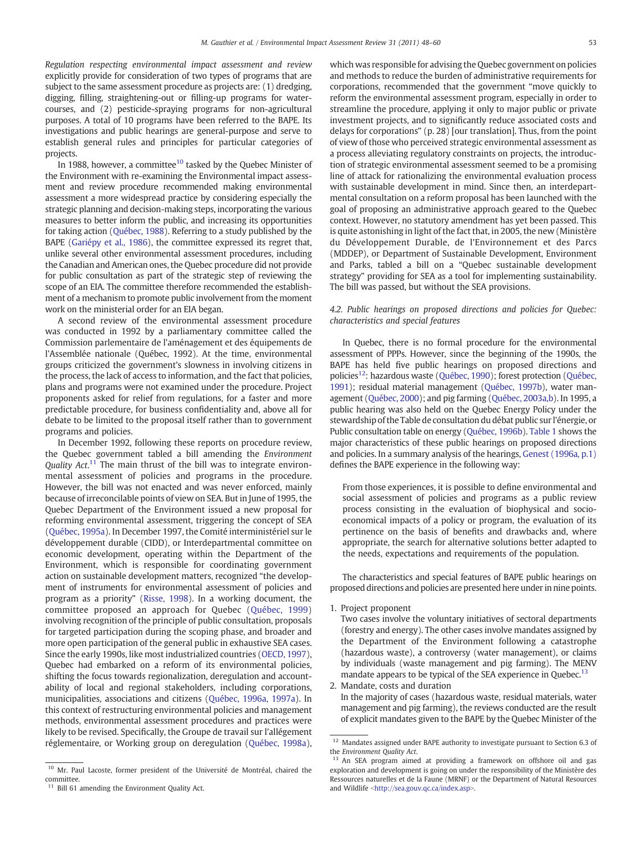Regulation respecting environmental impact assessment and review explicitly provide for consideration of two types of programs that are subject to the same assessment procedure as projects are: (1) dredging, digging, filling, straightening-out or filling-up programs for watercourses, and (2) pesticide-spraying programs for non-agricultural purposes. A total of 10 programs have been referred to the BAPE. Its investigations and public hearings are general-purpose and serve to establish general rules and principles for particular categories of projects.

In 1988, however, a committee<sup>10</sup> tasked by the Quebec Minister of the Environment with re-examining the Environmental impact assessment and review procedure recommended making environmental assessment a more widespread practice by considering especially the strategic planning and decision-making steps, incorporating the various measures to better inform the public, and increasing its opportunities for taking action [\(Québec, 1988](#page-11-0)). Referring to a study published by the BAPE ([Gariépy et al., 1986\)](#page-11-0), the committee expressed its regret that, unlike several other environmental assessment procedures, including the Canadian and American ones, the Quebec procedure did not provide for public consultation as part of the strategic step of reviewing the scope of an EIA. The committee therefore recommended the establishment of a mechanism to promote public involvement from the moment work on the ministerial order for an EIA began.

A second review of the environmental assessment procedure was conducted in 1992 by a parliamentary committee called the Commission parlementaire de l'aménagement et des équipements de l'Assemblée nationale (Québec, 1992). At the time, environmental groups criticized the government's slowness in involving citizens in the process, the lack of access to information, and the fact that policies, plans and programs were not examined under the procedure. Project proponents asked for relief from regulations, for a faster and more predictable procedure, for business confidentiality and, above all for debate to be limited to the proposal itself rather than to government programs and policies.

In December 1992, following these reports on procedure review, the Quebec government tabled a bill amending the Environment Quality Act.<sup>11</sup> The main thrust of the bill was to integrate environmental assessment of policies and programs in the procedure. However, the bill was not enacted and was never enforced, mainly because of irreconcilable points of view on SEA. But in June of 1995, the Quebec Department of the Environment issued a new proposal for reforming environmental assessment, triggering the concept of SEA [\(Québec, 1995a\)](#page-11-0). In December 1997, the Comité interministériel sur le développement durable (CIDD), or Interdepartmental committee on economic development, operating within the Department of the Environment, which is responsible for coordinating government action on sustainable development matters, recognized "the development of instruments for environmental assessment of policies and program as a priority" [\(Risse, 1998](#page-12-0)). In a working document, the committee proposed an approach for Quebec ([Québec, 1999](#page-12-0)) involving recognition of the principle of public consultation, proposals for targeted participation during the scoping phase, and broader and more open participation of the general public in exhaustive SEA cases. Since the early 1990s, like most industrialized countries [\(OECD, 1997](#page-11-0)), Quebec had embarked on a reform of its environmental policies, shifting the focus towards regionalization, deregulation and accountability of local and regional stakeholders, including corporations, municipalities, associations and citizens ([Québec, 1996a, 1997a\)](#page-11-0). In this context of restructuring environmental policies and management methods, environmental assessment procedures and practices were likely to be revised. Specifically, the Groupe de travail sur l'allégement réglementaire, or Working group on deregulation [\(Québec, 1998a](#page-11-0)), which was responsible for advising the Quebec government on policies and methods to reduce the burden of administrative requirements for corporations, recommended that the government "move quickly to reform the environmental assessment program, especially in order to streamline the procedure, applying it only to major public or private investment projects, and to significantly reduce associated costs and delays for corporations" (p. 28) [our translation]. Thus, from the point of view of those who perceived strategic environmental assessment as a process alleviating regulatory constraints on projects, the introduction of strategic environmental assessment seemed to be a promising line of attack for rationalizing the environmental evaluation process with sustainable development in mind. Since then, an interdepartmental consultation on a reform proposal has been launched with the goal of proposing an administrative approach geared to the Quebec context. However, no statutory amendment has yet been passed. This is quite astonishing in light of the fact that, in 2005, the new (Ministère du Développement Durable, de l'Environnement et des Parcs (MDDEP), or Department of Sustainable Development, Environment and Parks, tabled a bill on a "Quebec sustainable development strategy" providing for SEA as a tool for implementing sustainability. The bill was passed, but without the SEA provisions.

#### 4.2. Public hearings on proposed directions and policies for Quebec: characteristics and special features

In Quebec, there is no formal procedure for the environmental assessment of PPPs. However, since the beginning of the 1990s, the BAPE has held five public hearings on proposed directions and policies<sup>12</sup>: hazardous waste [\(Québec, 1990](#page-11-0)); forest protection [\(Québec,](#page-11-0) [1991](#page-11-0)); residual material management [\(Québec, 1997b\)](#page-11-0), water management ([Québec, 2000](#page-12-0)); and pig farming ([Québec, 2003a,b\)](#page-12-0). In 1995, a public hearing was also held on the Quebec Energy Policy under the stewardship of the Table de consultation du débat public sur l'énergie, or Public consultation table on energy [\(Québec, 1996b\)](#page-11-0). [Table 1](#page-7-0) shows the major characteristics of these public hearings on proposed directions and policies. In a summary analysis of the hearings, [Genest \(1996a, p.1\)](#page-11-0) defines the BAPE experience in the following way:

From those experiences, it is possible to define environmental and social assessment of policies and programs as a public review process consisting in the evaluation of biophysical and socioeconomical impacts of a policy or program, the evaluation of its pertinence on the basis of benefits and drawbacks and, where appropriate, the search for alternative solutions better adapted to the needs, expectations and requirements of the population.

The characteristics and special features of BAPE public hearings on proposed directions and policies are presented here under in nine points.

1. Project proponent

Two cases involve the voluntary initiatives of sectoral departments (forestry and energy). The other cases involve mandates assigned by the Department of the Environment following a catastrophe (hazardous waste), a controversy (water management), or claims by individuals (waste management and pig farming). The MENV mandate appears to be typical of the SEA experience in Quebec.<sup>13</sup> 2. Mandate, costs and duration

In the majority of cases (hazardous waste, residual materials, water management and pig farming), the reviews conducted are the result of explicit mandates given to the BAPE by the Quebec Minister of the

<sup>&</sup>lt;sup>10</sup> Mr. Paul Lacoste, former president of the Université de Montréal, chaired the committee.

<sup>&</sup>lt;sup>11</sup> Bill 61 amending the Environment Quality Act.

 $\overline{12}$  Mandates assigned under BAPE authority to investigate pursuant to Section 6.3 of the Environment Quality Act.

<sup>&</sup>lt;sup>13</sup> An SEA program aimed at providing a framework on offshore oil and gas exploration and development is going on under the responsibility of the Ministère des Ressources naturelles et de la Faune (MRNF) or the Department of Natural Resources and Wildlife  $\frac{1}{100}$  <<http://sea.gouv.qc.ca/index.asp>>.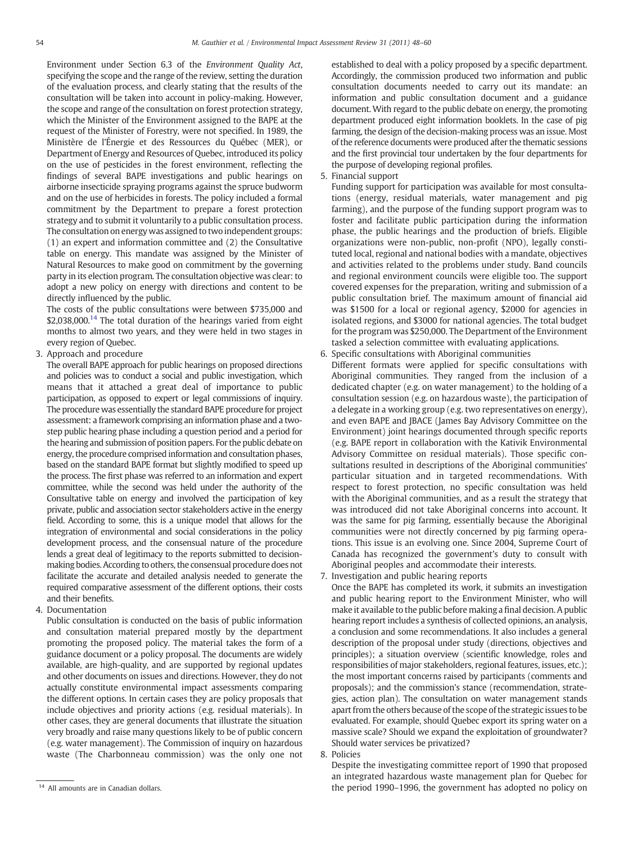Environment under Section 6.3 of the Environment Quality Act, specifying the scope and the range of the review, setting the duration of the evaluation process, and clearly stating that the results of the consultation will be taken into account in policy-making. However, the scope and range of the consultation on forest protection strategy, which the Minister of the Environment assigned to the BAPE at the request of the Minister of Forestry, were not specified. In 1989, the Ministère de l'Énergie et des Ressources du Québec (MER), or Department of Energy and Resources of Quebec, introduced its policy on the use of pesticides in the forest environment, reflecting the findings of several BAPE investigations and public hearings on airborne insecticide spraying programs against the spruce budworm and on the use of herbicides in forests. The policy included a formal commitment by the Department to prepare a forest protection strategy and to submit it voluntarily to a public consultation process. The consultation on energy was assigned to two independent groups: (1) an expert and information committee and (2) the Consultative table on energy. This mandate was assigned by the Minister of Natural Resources to make good on commitment by the governing party in its election program. The consultation objective was clear: to adopt a new policy on energy with directions and content to be directly influenced by the public.

The costs of the public consultations were between \$735,000 and  $$2,038,000<sup>14</sup>$  The total duration of the hearings varied from eight months to almost two years, and they were held in two stages in every region of Quebec.

3. Approach and procedure

The overall BAPE approach for public hearings on proposed directions and policies was to conduct a social and public investigation, which means that it attached a great deal of importance to public participation, as opposed to expert or legal commissions of inquiry. The procedure was essentially the standard BAPE procedure for project assessment: a framework comprising an information phase and a twostep public hearing phase including a question period and a period for the hearing and submission of position papers. For the public debate on energy, the procedure comprised information and consultation phases, based on the standard BAPE format but slightly modified to speed up the process. The first phase was referred to an information and expert committee, while the second was held under the authority of the Consultative table on energy and involved the participation of key private, public and association sector stakeholders active in the energy field. According to some, this is a unique model that allows for the integration of environmental and social considerations in the policy development process, and the consensual nature of the procedure lends a great deal of legitimacy to the reports submitted to decisionmaking bodies. According to others, the consensual procedure does not facilitate the accurate and detailed analysis needed to generate the required comparative assessment of the different options, their costs and their benefits.

4. Documentation

Public consultation is conducted on the basis of public information and consultation material prepared mostly by the department promoting the proposed policy. The material takes the form of a guidance document or a policy proposal. The documents are widely available, are high-quality, and are supported by regional updates and other documents on issues and directions. However, they do not actually constitute environmental impact assessments comparing the different options. In certain cases they are policy proposals that include objectives and priority actions (e.g. residual materials). In other cases, they are general documents that illustrate the situation very broadly and raise many questions likely to be of public concern (e.g. water management). The Commission of inquiry on hazardous waste (The Charbonneau commission) was the only one not

established to deal with a policy proposed by a specific department. Accordingly, the commission produced two information and public consultation documents needed to carry out its mandate: an information and public consultation document and a guidance document. With regard to the public debate on energy, the promoting department produced eight information booklets. In the case of pig farming, the design of the decision-making process was an issue. Most of the reference documents were produced after the thematic sessions and the first provincial tour undertaken by the four departments for the purpose of developing regional profiles.

5. Financial support

Funding support for participation was available for most consultations (energy, residual materials, water management and pig farming), and the purpose of the funding support program was to foster and facilitate public participation during the information phase, the public hearings and the production of briefs. Eligible organizations were non-public, non-profit (NPO), legally constituted local, regional and national bodies with a mandate, objectives and activities related to the problems under study. Band councils and regional environment councils were eligible too. The support covered expenses for the preparation, writing and submission of a public consultation brief. The maximum amount of financial aid was \$1500 for a local or regional agency, \$2000 for agencies in isolated regions, and \$3000 for national agencies. The total budget for the program was \$250,000. The Department of the Environment tasked a selection committee with evaluating applications.

6. Specific consultations with Aboriginal communities

Different formats were applied for specific consultations with Aboriginal communities. They ranged from the inclusion of a dedicated chapter (e.g. on water management) to the holding of a consultation session (e.g. on hazardous waste), the participation of a delegate in a working group (e.g. two representatives on energy), and even BAPE and JBACE (James Bay Advisory Committee on the Environment) joint hearings documented through specific reports (e.g. BAPE report in collaboration with the Kativik Environmental Advisory Committee on residual materials). Those specific consultations resulted in descriptions of the Aboriginal communities' particular situation and in targeted recommendations. With respect to forest protection, no specific consultation was held with the Aboriginal communities, and as a result the strategy that was introduced did not take Aboriginal concerns into account. It was the same for pig farming, essentially because the Aboriginal communities were not directly concerned by pig farming operations. This issue is an evolving one. Since 2004, Supreme Court of Canada has recognized the government's duty to consult with Aboriginal peoples and accommodate their interests.

7. Investigation and public hearing reports

Once the BAPE has completed its work, it submits an investigation and public hearing report to the Environment Minister, who will make it available to the public before making a final decision. A public hearing report includes a synthesis of collected opinions, an analysis, a conclusion and some recommendations. It also includes a general description of the proposal under study (directions, objectives and principles); a situation overview (scientific knowledge, roles and responsibilities of major stakeholders, regional features, issues, etc.); the most important concerns raised by participants (comments and proposals); and the commission's stance (recommendation, strategies, action plan). The consultation on water management stands apart from the others because of the scope of the strategic issues to be evaluated. For example, should Quebec export its spring water on a massive scale? Should we expand the exploitation of groundwater? Should water services be privatized?

### 8. Policies

Despite the investigating committee report of 1990 that proposed an integrated hazardous waste management plan for Quebec for <sup>14</sup> All amounts are in Canadian dollars. **14 14 1990 1990–1996**, the government has adopted no policy on 1990–1996, the government has adopted no policy on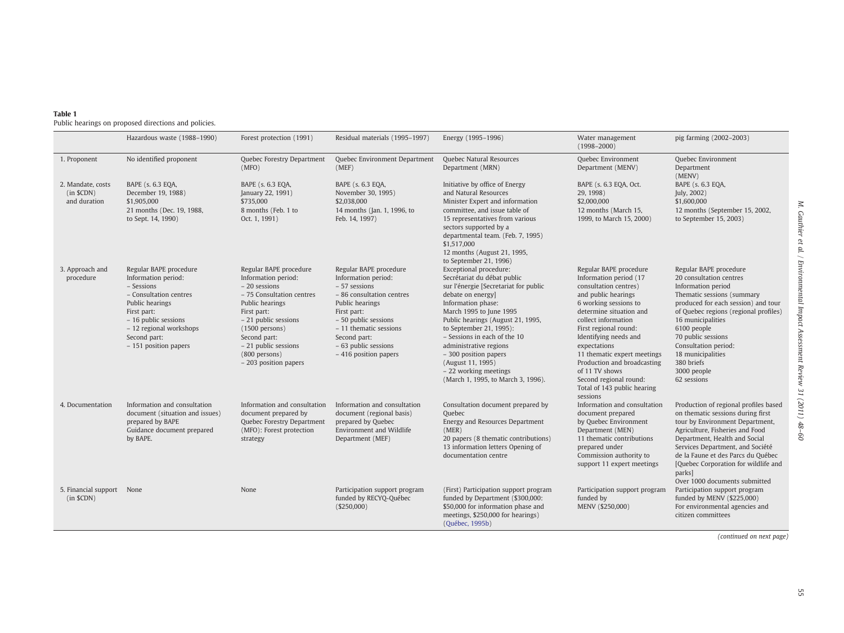#### <span id="page-7-0"></span>Table 1Public hearings on proposed directions and policies.

|                                                 | Hazardous waste (1988-1990)                                                                                                                                                                                         | Forest protection (1991)                                                                                                                                                                                                                                    | Residual materials (1995-1997)                                                                                                                                                                                                                   | Energy (1995-1996)                                                                                                                                                                                                                                                                                                                                                                                          | Water management<br>$(1998 - 2000)$                                                                                                                                                                                                                                                                                                                                                                | pig farming (2002-2003)                                                                                                                                                                                                                                                                                                                        |
|-------------------------------------------------|---------------------------------------------------------------------------------------------------------------------------------------------------------------------------------------------------------------------|-------------------------------------------------------------------------------------------------------------------------------------------------------------------------------------------------------------------------------------------------------------|--------------------------------------------------------------------------------------------------------------------------------------------------------------------------------------------------------------------------------------------------|-------------------------------------------------------------------------------------------------------------------------------------------------------------------------------------------------------------------------------------------------------------------------------------------------------------------------------------------------------------------------------------------------------------|----------------------------------------------------------------------------------------------------------------------------------------------------------------------------------------------------------------------------------------------------------------------------------------------------------------------------------------------------------------------------------------------------|------------------------------------------------------------------------------------------------------------------------------------------------------------------------------------------------------------------------------------------------------------------------------------------------------------------------------------------------|
| 1. Proponent                                    | No identified proponent                                                                                                                                                                                             | Quebec Forestry Department<br>(MFO)                                                                                                                                                                                                                         | Quebec Environment Department<br>(MEF)                                                                                                                                                                                                           | Quebec Natural Resources<br>Department (MRN)                                                                                                                                                                                                                                                                                                                                                                | Quebec Environment<br>Department (MENV)                                                                                                                                                                                                                                                                                                                                                            | Quebec Environment<br>Department<br>(MENV)                                                                                                                                                                                                                                                                                                     |
| 2. Mandate, costs<br>(in \$CDN)<br>and duration | BAPE (s. 6.3 EQA,<br>December 19, 1988)<br>\$1,905,000<br>21 months (Dec. 19, 1988,<br>to Sept. 14, 1990)                                                                                                           | BAPE (s. 6.3 EQA,<br>January 22, 1991)<br>\$735,000<br>8 months (Feb. 1 to<br>Oct. 1, 1991)                                                                                                                                                                 | BAPE (s. 6.3 EQA,<br>November 30, 1995)<br>\$2,038,000<br>14 months (Jan. 1, 1996, to<br>Feb. 14, 1997)                                                                                                                                          | Initiative by office of Energy<br>and Natural Resources<br>Minister Expert and information<br>committee, and issue table of<br>15 representatives from various<br>sectors supported by a<br>departmental team. (Feb. 7, 1995)<br>\$1,517,000<br>12 months (August 21, 1995,<br>to September 21, 1996)                                                                                                       | BAPE (s. 6.3 EQA, Oct.<br>29, 1998)<br>\$2,000,000<br>12 months (March 15,<br>1999, to March 15, 2000)                                                                                                                                                                                                                                                                                             | BAPE (s. 6.3 EOA,<br>July, 2002)<br>\$1,600,000<br>12 months (September 15, 2002,<br>to September 15, 2003)                                                                                                                                                                                                                                    |
| 3. Approach and<br>procedure                    | Regular BAPE procedure<br>Information period:<br>- Sessions<br>- Consultation centres<br>Public hearings<br>First part:<br>- 16 public sessions<br>- 12 regional workshops<br>Second part:<br>- 151 position papers | Regular BAPE procedure<br>Information period:<br>- 20 sessions<br>- 75 Consultation centres<br>Public hearings<br>First part:<br>- 21 public sessions<br>$(1500$ persons)<br>Second part:<br>- 21 public sessions<br>(800 persons)<br>- 203 position papers | Regular BAPE procedure<br>Information period:<br>- 57 sessions<br>- 86 consultation centres<br>Public hearings<br>First part:<br>- 50 public sessions<br>- 11 thematic sessions<br>Second part:<br>- 63 public sessions<br>- 416 position papers | Exceptional procedure:<br>Secrétariat du débat public<br>sur l'énergie [Secretariat for public<br>debate on energy]<br>Information phase:<br>March 1995 to June 1995<br>Public hearings (August 21, 1995,<br>to September 21, 1995):<br>- Sessions in each of the 10<br>administrative regions<br>- 300 position papers<br>(August 11, 1995)<br>- 22 working meetings<br>(March 1, 1995, to March 3, 1996). | Regular BAPE procedure<br>Information period (17<br>consultation centres)<br>and public hearings<br>6 working sessions to<br>determine situation and<br>collect information<br>First regional round:<br>Identifying needs and<br>expectations<br>11 thematic expert meetings<br>Production and broadcasting<br>of 11 TV shows<br>Second regional round:<br>Total of 143 public hearing<br>sessions | Regular BAPE procedure<br>20 consultation centres<br>Information period<br>Thematic sessions (summary<br>produced for each session) and tour<br>of Quebec regions (regional profiles)<br>16 municipalities<br>6100 people<br>70 public sessions<br>Consultation period:<br>18 municipalities<br>380 briefs<br>3000 people<br>62 sessions       |
| 4. Documentation                                | Information and consultation<br>document (situation and issues)<br>prepared by BAPE<br>Guidance document prepared<br>by BAPE.                                                                                       | Information and consultation<br>document prepared by<br>Quebec Forestry Department<br>(MFO): Forest protection<br>strategy                                                                                                                                  | Information and consultation<br>document (regional basis)<br>prepared by Quebec<br><b>Environment and Wildlife</b><br>Department (MEF)                                                                                                           | Consultation document prepared by<br>Quebec<br><b>Energy and Resources Department</b><br>(MER)<br>20 papers (8 thematic contributions)<br>13 information letters Opening of<br>documentation centre                                                                                                                                                                                                         | Information and consultation<br>document prepared<br>by Quebec Environment<br>Department (MEN)<br>11 thematic contributions<br>prepared under<br>Commission authority to<br>support 11 expert meetings                                                                                                                                                                                             | Production of regional profiles based<br>on thematic sessions during first<br>tour by Environment Department,<br>Agriculture, Fisheries and Food<br>Department, Health and Social<br>Services Department, and Société<br>de la Faune et des Parcs du Québec<br>[Quebec Corporation for wildlife and<br>parks]<br>Over 1000 documents submitted |
| 5. Financial support None<br>(in \$CDN)         |                                                                                                                                                                                                                     | None                                                                                                                                                                                                                                                        | Participation support program<br>funded by RECYQ-Québec<br>(\$250,000)                                                                                                                                                                           | (First) Participation support program<br>funded by Department (\$300,000:<br>\$50,000 for information phase and<br>meetings, \$250,000 for hearings)<br>(Québec, 1995b)                                                                                                                                                                                                                                     | Participation support program<br>funded by<br>MENV (\$250,000)                                                                                                                                                                                                                                                                                                                                     | Participation support program<br>funded by MENV (\$225,000)<br>For environmental agencies and<br>citizen committees                                                                                                                                                                                                                            |

(continued on next page)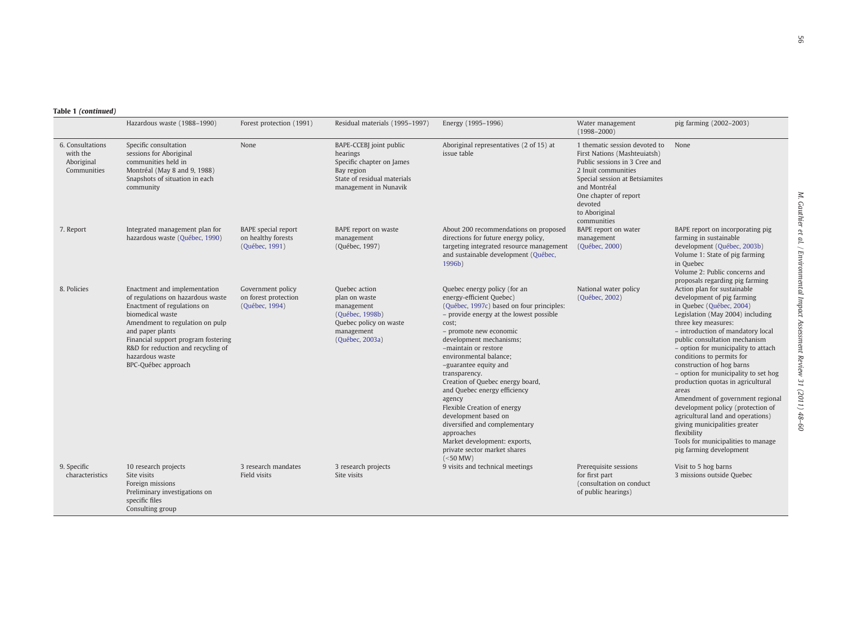#### Table 1 (continued)

|                                                           | Hazardous waste (1988-1990)                                                                                                                                                                                                                                                                        | Forest protection (1991)                                           | Residual materials (1995-1997)                                                                                                         | Energy (1995-1996)                                                                                                                                                                                                                                                                                                                                                                                                                                                                                                                                                           | Water management<br>$(1998 - 2000)$                                                                                                                                                                                                         | pig farming (2002-2003)                                                                                                                                                                                                                                                                                                                                                                                                                                                                                                                                                                                                                                                                                                                                                                                                                                      |
|-----------------------------------------------------------|----------------------------------------------------------------------------------------------------------------------------------------------------------------------------------------------------------------------------------------------------------------------------------------------------|--------------------------------------------------------------------|----------------------------------------------------------------------------------------------------------------------------------------|------------------------------------------------------------------------------------------------------------------------------------------------------------------------------------------------------------------------------------------------------------------------------------------------------------------------------------------------------------------------------------------------------------------------------------------------------------------------------------------------------------------------------------------------------------------------------|---------------------------------------------------------------------------------------------------------------------------------------------------------------------------------------------------------------------------------------------|--------------------------------------------------------------------------------------------------------------------------------------------------------------------------------------------------------------------------------------------------------------------------------------------------------------------------------------------------------------------------------------------------------------------------------------------------------------------------------------------------------------------------------------------------------------------------------------------------------------------------------------------------------------------------------------------------------------------------------------------------------------------------------------------------------------------------------------------------------------|
| 6. Consultations<br>with the<br>Aboriginal<br>Communities | Specific consultation<br>sessions for Aboriginal<br>communities held in<br>Montréal (May 8 and 9, 1988)<br>Snapshots of situation in each<br>community                                                                                                                                             | None                                                               | BAPE-CCEBJ joint public<br>hearings<br>Specific chapter on James<br>Bay region<br>State of residual materials<br>management in Nunavik | Aboriginal representatives (2 of 15) at<br>issue table                                                                                                                                                                                                                                                                                                                                                                                                                                                                                                                       | 1 thematic session devoted to<br>First Nations (Mashteuiatsh)<br>Public sessions in 3 Cree and<br>2 Inuit communities<br>Special session at Betsiamites<br>and Montréal<br>One chapter of report<br>devoted<br>to Aboriginal<br>communities | None                                                                                                                                                                                                                                                                                                                                                                                                                                                                                                                                                                                                                                                                                                                                                                                                                                                         |
| 7. Report                                                 | Integrated management plan for<br>hazardous waste (Québec, 1990)                                                                                                                                                                                                                                   | <b>BAPE</b> special report<br>on healthy forests<br>(Québec, 1991) | BAPE report on waste<br>management<br>(Québec, 1997)                                                                                   | About 200 recommendations on proposed<br>directions for future energy policy,<br>targeting integrated resource management<br>and sustainable development (Québec,<br>1996b)                                                                                                                                                                                                                                                                                                                                                                                                  | BAPE report on water<br>management<br>(Québec, 2000)                                                                                                                                                                                        | BAPE report on incorporating pig<br>farming in sustainable<br>development (Québec, 2003b)<br>Volume 1: State of pig farming<br>in Quebec<br>Volume 2: Public concerns and<br>proposals regarding pig farming<br>Action plan for sustainable<br>development of pig farming<br>in Quebec (Québec, 2004)<br>Legislation (May 2004) including<br>three key measures:<br>- introduction of mandatory local<br>public consultation mechanism<br>- option for municipality to attach<br>conditions to permits for<br>construction of hog barns<br>- option for municipality to set hog<br>production quotas in agricultural<br>areas<br>Amendment of government regional<br>development policy (protection of<br>agricultural land and operations)<br>giving municipalities greater<br>flexibility<br>Tools for municipalities to manage<br>pig farming development |
| 8. Policies                                               | Enactment and implementation<br>of regulations on hazardous waste<br>Enactment of regulations on<br>biomedical waste<br>Amendment to regulation on pulp<br>and paper plants<br>Financial support program fostering<br>R&D for reduction and recycling of<br>hazardous waste<br>BPC-Québec approach | Government policy<br>on forest protection<br>(Québec, 1994)        | Quebec action<br>plan on waste<br>management<br>(Québec, 1998b)<br>Quebec policy on waste<br>management<br>(Québec, 2003a)             | Quebec energy policy (for an<br>energy-efficient Quebec)<br>(Québec, 1997c) based on four principles:<br>- provide energy at the lowest possible<br>cost;<br>- promote new economic<br>development mechanisms;<br>-maintain or restore<br>environmental balance;<br>-guarantee equity and<br>transparency.<br>Creation of Quebec energy board,<br>and Quebec energy efficiency<br>agency<br>Flexible Creation of energy<br>development based on<br>diversified and complementary<br>approaches<br>Market development: exports,<br>private sector market shares<br>$(<50$ MW) | National water policy<br>(Québec, 2002)                                                                                                                                                                                                     |                                                                                                                                                                                                                                                                                                                                                                                                                                                                                                                                                                                                                                                                                                                                                                                                                                                              |
| 9. Specific<br>characteristics                            | 10 research projects<br>Site visits<br>Foreign missions<br>Preliminary investigations on<br>specific files<br>Consulting group                                                                                                                                                                     | 3 research mandates<br>Field visits                                | 3 research projects<br>Site visits                                                                                                     | 9 visits and technical meetings                                                                                                                                                                                                                                                                                                                                                                                                                                                                                                                                              | Prerequisite sessions<br>for first part<br>(consultation on conduct<br>of public hearings)                                                                                                                                                  | Visit to 5 hog barns<br>3 missions outside Quebec                                                                                                                                                                                                                                                                                                                                                                                                                                                                                                                                                                                                                                                                                                                                                                                                            |

 $-60$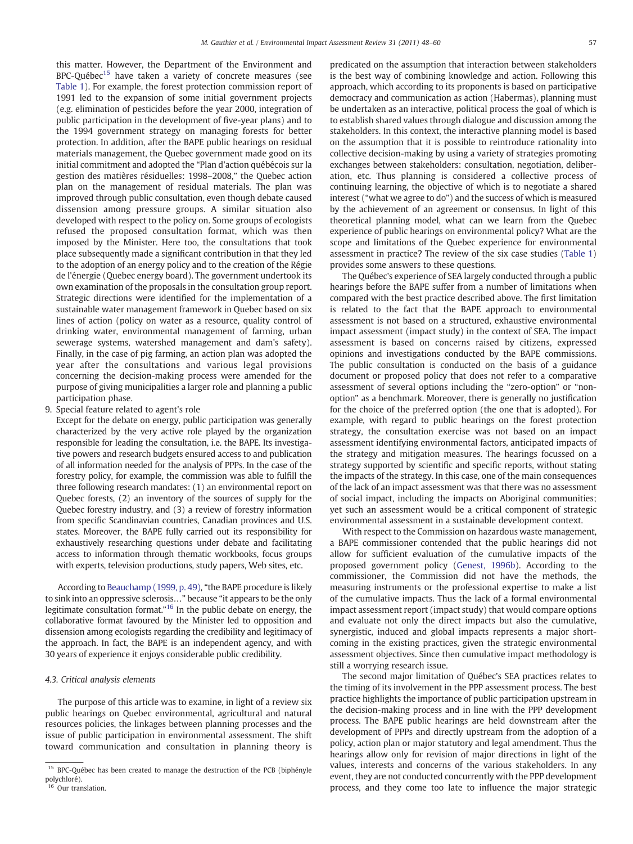this matter. However, the Department of the Environment and BPC-Québec<sup>15</sup> have taken a variety of concrete measures (see [Table 1](#page-7-0)). For example, the forest protection commission report of 1991 led to the expansion of some initial government projects (e.g. elimination of pesticides before the year 2000, integration of public participation in the development of five-year plans) and to the 1994 government strategy on managing forests for better protection. In addition, after the BAPE public hearings on residual materials management, the Quebec government made good on its initial commitment and adopted the "Plan d'action québécois sur la gestion des matières résiduelles: 1998–2008," the Quebec action plan on the management of residual materials. The plan was improved through public consultation, even though debate caused dissension among pressure groups. A similar situation also developed with respect to the policy on. Some groups of ecologists refused the proposed consultation format, which was then imposed by the Minister. Here too, the consultations that took place subsequently made a significant contribution in that they led to the adoption of an energy policy and to the creation of the Régie de l'énergie (Quebec energy board). The government undertook its own examination of the proposals in the consultation group report. Strategic directions were identified for the implementation of a sustainable water management framework in Quebec based on six lines of action (policy on water as a resource, quality control of drinking water, environmental management of farming, urban sewerage systems, watershed management and dam's safety). Finally, in the case of pig farming, an action plan was adopted the year after the consultations and various legal provisions concerning the decision-making process were amended for the purpose of giving municipalities a larger role and planning a public participation phase.

9. Special feature related to agent's role

Except for the debate on energy, public participation was generally characterized by the very active role played by the organization responsible for leading the consultation, i.e. the BAPE. Its investigative powers and research budgets ensured access to and publication of all information needed for the analysis of PPPs. In the case of the forestry policy, for example, the commission was able to fulfill the three following research mandates: (1) an environmental report on Quebec forests, (2) an inventory of the sources of supply for the Quebec forestry industry, and (3) a review of forestry information from specific Scandinavian countries, Canadian provinces and U.S. states. Moreover, the BAPE fully carried out its responsibility for exhaustively researching questions under debate and facilitating access to information through thematic workbooks, focus groups with experts, television productions, study papers, Web sites, etc.

According to [Beauchamp \(1999, p. 49\),](#page-11-0) "the BAPE procedure is likely to sink into an oppressive sclerosis…" because "it appears to be the only legitimate consultation format."<sup>16</sup> In the public debate on energy, the collaborative format favoured by the Minister led to opposition and dissension among ecologists regarding the credibility and legitimacy of the approach. In fact, the BAPE is an independent agency, and with 30 years of experience it enjoys considerable public credibility.

### 4.3. Critical analysis elements

The purpose of this article was to examine, in light of a review six public hearings on Quebec environmental, agricultural and natural resources policies, the linkages between planning processes and the issue of public participation in environmental assessment. The shift toward communication and consultation in planning theory is

The Québec's experience of SEA largely conducted through a public hearings before the BAPE suffer from a number of limitations when compared with the best practice described above. The first limitation is related to the fact that the BAPE approach to environmental assessment is not based on a structured, exhaustive environmental impact assessment (impact study) in the context of SEA. The impact assessment is based on concerns raised by citizens, expressed opinions and investigations conducted by the BAPE commissions. The public consultation is conducted on the basis of a guidance document or proposed policy that does not refer to a comparative assessment of several options including the "zero-option" or "nonoption" as a benchmark. Moreover, there is generally no justification for the choice of the preferred option (the one that is adopted). For example, with regard to public hearings on the forest protection strategy, the consultation exercise was not based on an impact assessment identifying environmental factors, anticipated impacts of the strategy and mitigation measures. The hearings focussed on a strategy supported by scientific and specific reports, without stating the impacts of the strategy. In this case, one of the main consequences of the lack of an impact assessment was that there was no assessment of social impact, including the impacts on Aboriginal communities; yet such an assessment would be a critical component of strategic environmental assessment in a sustainable development context.

With respect to the Commission on hazardous waste management, a BAPE commissioner contended that the public hearings did not allow for sufficient evaluation of the cumulative impacts of the proposed government policy [\(Genest, 1996b\)](#page-11-0). According to the commissioner, the Commission did not have the methods, the measuring instruments or the professional expertise to make a list of the cumulative impacts. Thus the lack of a formal environmental impact assessment report (impact study) that would compare options and evaluate not only the direct impacts but also the cumulative, synergistic, induced and global impacts represents a major shortcoming in the existing practices, given the strategic environmental assessment objectives. Since then cumulative impact methodology is still a worrying research issue.

The second major limitation of Québec's SEA practices relates to the timing of its involvement in the PPP assessment process. The best practice highlights the importance of public participation upstream in the decision-making process and in line with the PPP development process. The BAPE public hearings are held downstream after the development of PPPs and directly upstream from the adoption of a policy, action plan or major statutory and legal amendment. Thus the hearings allow only for revision of major directions in light of the values, interests and concerns of the various stakeholders. In any event, they are not conducted concurrently with the PPP development process, and they come too late to influence the major strategic

<sup>&</sup>lt;sup>15</sup> BPC-Québec has been created to manage the destruction of the PCB (biphényle polychloré). Our translation.

predicated on the assumption that interaction between stakeholders is the best way of combining knowledge and action. Following this approach, which according to its proponents is based on participative democracy and communication as action (Habermas), planning must be undertaken as an interactive, political process the goal of which is to establish shared values through dialogue and discussion among the stakeholders. In this context, the interactive planning model is based on the assumption that it is possible to reintroduce rationality into collective decision-making by using a variety of strategies promoting exchanges between stakeholders: consultation, negotiation, deliberation, etc. Thus planning is considered a collective process of continuing learning, the objective of which is to negotiate a shared interest ("what we agree to do") and the success of which is measured by the achievement of an agreement or consensus. In light of this theoretical planning model, what can we learn from the Quebec experience of public hearings on environmental policy? What are the scope and limitations of the Quebec experience for environmental assessment in practice? The review of the six case studies [\(Table 1](#page-7-0)) provides some answers to these questions.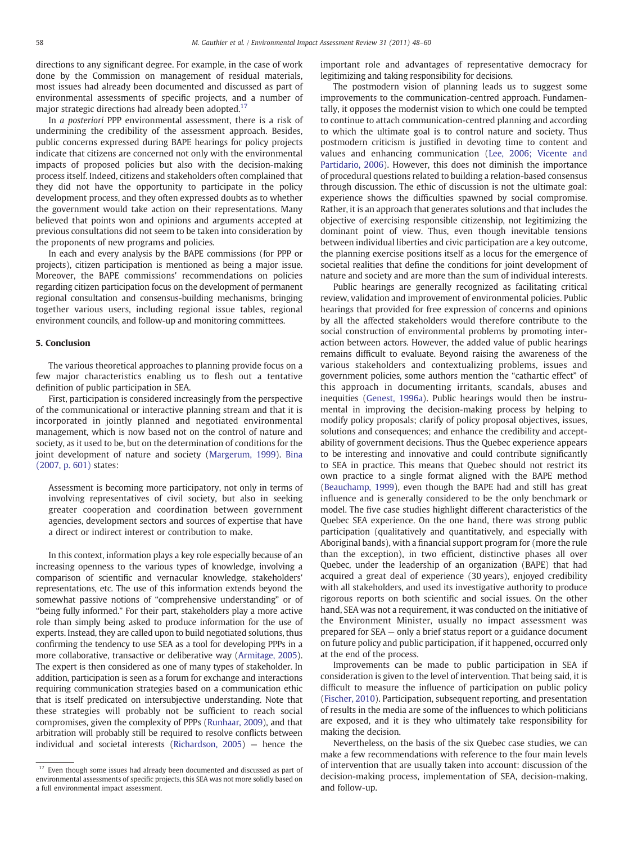directions to any significant degree. For example, in the case of work done by the Commission on management of residual materials, most issues had already been documented and discussed as part of environmental assessments of specific projects, and a number of major strategic directions had already been adopted.<sup>17</sup>

In a posteriori PPP environmental assessment, there is a risk of undermining the credibility of the assessment approach. Besides, public concerns expressed during BAPE hearings for policy projects indicate that citizens are concerned not only with the environmental impacts of proposed policies but also with the decision-making process itself. Indeed, citizens and stakeholders often complained that they did not have the opportunity to participate in the policy development process, and they often expressed doubts as to whether the government would take action on their representations. Many believed that points won and opinions and arguments accepted at previous consultations did not seem to be taken into consideration by the proponents of new programs and policies.

In each and every analysis by the BAPE commissions (for PPP or projects), citizen participation is mentioned as being a major issue. Moreover, the BAPE commissions' recommendations on policies regarding citizen participation focus on the development of permanent regional consultation and consensus-building mechanisms, bringing together various users, including regional issue tables, regional environment councils, and follow-up and monitoring committees.

#### 5. Conclusion

The various theoretical approaches to planning provide focus on a few major characteristics enabling us to flesh out a tentative definition of public participation in SEA.

First, participation is considered increasingly from the perspective of the communicational or interactive planning stream and that it is incorporated in jointly planned and negotiated environmental management, which is now based not on the control of nature and society, as it used to be, but on the determination of conditions for the joint development of nature and society ([Margerum, 1999](#page-11-0)). [Bina](#page-11-0) [\(2007, p. 601\)](#page-11-0) states:

Assessment is becoming more participatory, not only in terms of involving representatives of civil society, but also in seeking greater cooperation and coordination between government agencies, development sectors and sources of expertise that have a direct or indirect interest or contribution to make.

In this context, information plays a key role especially because of an increasing openness to the various types of knowledge, involving a comparison of scientific and vernacular knowledge, stakeholders' representations, etc. The use of this information extends beyond the somewhat passive notions of "comprehensive understanding" or of "being fully informed." For their part, stakeholders play a more active role than simply being asked to produce information for the use of experts. Instead, they are called upon to build negotiated solutions, thus confirming the tendency to use SEA as a tool for developing PPPs in a more collaborative, transactive or deliberative way [\(Armitage, 2005\)](#page-11-0). The expert is then considered as one of many types of stakeholder. In addition, participation is seen as a forum for exchange and interactions requiring communication strategies based on a communication ethic that is itself predicated on intersubjective understanding. Note that these strategies will probably not be sufficient to reach social compromises, given the complexity of PPPs [\(Runhaar, 2009](#page-12-0)), and that arbitration will probably still be required to resolve conflicts between individual and societal interests [\(Richardson, 2005\)](#page-12-0) — hence the

important role and advantages of representative democracy for legitimizing and taking responsibility for decisions.

The postmodern vision of planning leads us to suggest some improvements to the communication-centred approach. Fundamentally, it opposes the modernist vision to which one could be tempted to continue to attach communication-centred planning and according to which the ultimate goal is to control nature and society. Thus postmodern criticism is justified in devoting time to content and values and enhancing communication ([Lee, 2006; Vicente and](#page-11-0) [Partidario, 2006\)](#page-11-0). However, this does not diminish the importance of procedural questions related to building a relation-based consensus through discussion. The ethic of discussion is not the ultimate goal: experience shows the difficulties spawned by social compromise. Rather, it is an approach that generates solutions and that includes the objective of exercising responsible citizenship, not legitimizing the dominant point of view. Thus, even though inevitable tensions between individual liberties and civic participation are a key outcome, the planning exercise positions itself as a locus for the emergence of societal realities that define the conditions for joint development of nature and society and are more than the sum of individual interests.

Public hearings are generally recognized as facilitating critical review, validation and improvement of environmental policies. Public hearings that provided for free expression of concerns and opinions by all the affected stakeholders would therefore contribute to the social construction of environmental problems by promoting interaction between actors. However, the added value of public hearings remains difficult to evaluate. Beyond raising the awareness of the various stakeholders and contextualizing problems, issues and government policies, some authors mention the "cathartic effect" of this approach in documenting irritants, scandals, abuses and inequities ([Genest, 1996a\)](#page-11-0). Public hearings would then be instrumental in improving the decision-making process by helping to modify policy proposals; clarify of policy proposal objectives, issues, solutions and consequences; and enhance the credibility and acceptability of government decisions. Thus the Quebec experience appears to be interesting and innovative and could contribute significantly to SEA in practice. This means that Quebec should not restrict its own practice to a single format aligned with the BAPE method [\(Beauchamp, 1999\)](#page-11-0), even though the BAPE had and still has great influence and is generally considered to be the only benchmark or model. The five case studies highlight different characteristics of the Quebec SEA experience. On the one hand, there was strong public participation (qualitatively and quantitatively, and especially with Aboriginal bands), with a financial support program for (more the rule than the exception), in two efficient, distinctive phases all over Quebec, under the leadership of an organization (BAPE) that had acquired a great deal of experience (30 years), enjoyed credibility with all stakeholders, and used its investigative authority to produce rigorous reports on both scientific and social issues. On the other hand, SEA was not a requirement, it was conducted on the initiative of the Environment Minister, usually no impact assessment was prepared for SEA — only a brief status report or a guidance document on future policy and public participation, if it happened, occurred only at the end of the process.

Improvements can be made to public participation in SEA if consideration is given to the level of intervention. That being said, it is difficult to measure the influence of participation on public policy [\(Fischer, 2010\)](#page-11-0). Participation, subsequent reporting, and presentation of results in the media are some of the influences to which politicians are exposed, and it is they who ultimately take responsibility for making the decision.

Nevertheless, on the basis of the six Quebec case studies, we can make a few recommendations with reference to the four main levels of intervention that are usually taken into account: discussion of the decision-making process, implementation of SEA, decision-making, and follow-up.

<sup>&</sup>lt;sup>17</sup> Even though some issues had already been documented and discussed as part of environmental assessments of specific projects, this SEA was not more solidly based on a full environmental impact assessment.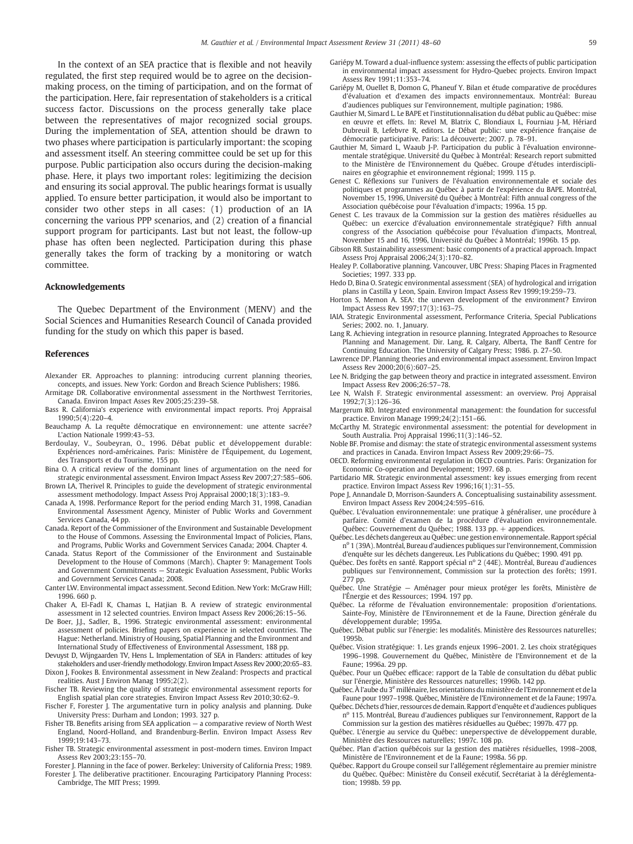<span id="page-11-0"></span>In the context of an SEA practice that is flexible and not heavily regulated, the first step required would be to agree on the decisionmaking process, on the timing of participation, and on the format of the participation. Here, fair representation of stakeholders is a critical success factor. Discussions on the process generally take place between the representatives of major recognized social groups. During the implementation of SEA, attention should be drawn to two phases where participation is particularly important: the scoping and assessment itself. An steering committee could be set up for this purpose. Public participation also occurs during the decision-making phase. Here, it plays two important roles: legitimizing the decision and ensuring its social approval. The public hearings format is usually applied. To ensure better participation, it would also be important to consider two other steps in all cases: (1) production of an IA concerning the various PPP scenarios, and (2) creation of a financial support program for participants. Last but not least, the follow-up phase has often been neglected. Participation during this phase generally takes the form of tracking by a monitoring or watch committee.

#### Acknowledgements

The Quebec Department of the Environment (MENV) and the Social Sciences and Humanities Research Council of Canada provided funding for the study on which this paper is based.

#### References

- Alexander ER. Approaches to planning: introducing current planning theories, concepts, and issues. New York: Gordon and Breach Science Publishers; 1986.
- Armitage DR. Collaborative environmental assessment in the Northwest Territories, Canada. Environ Impact Asses Rev 2005;25:239–58.
- Bass R. California's experience with environmental impact reports. Proj Appraisal 1990;5(4):220–4.
- Beauchamp A. La requête démocratique en environnement: une attente sacrée? L'action Nationale 1999:43–53.
- Berdoulay, V., Soubeyran, O., 1996. Débat public et développement durable: Expériences nord-américaines. Paris: Ministère de l'Équipement, du Logement, des Transports et du Tourisme, 155 pp.
- Bina O. A critical review of the dominant lines of argumentation on the need for strategic environmental assessment. Environ Impact Assess Rev 2007;27:585–606.
- Brown LA, Therivel R. Principles to guide the development of strategic environmental assessment methodology. Impact Assess Proj Appraisal 2000;18(3):183–9.
- Canada A, 1998. Performance Report for the period ending March 31, 1998, Canadian Environmental Assessment Agency, Minister of Public Works and Government Services Canada, 44 pp.
- Canada. Report of the Commissioner of the Environment and Sustainable Development to the House of Commons. Assessing the Environmental Impact of Policies, Plans, and Programs, Public Works and Government Services Canada; 2004. Chapter 4.
- Canada. Status Report of the Commissioner of the Environment and Sustainable Development to the House of Commons (March). Chapter 9: Management Tools and Government Commitments — Strategic Evaluation Assessment, Public Works and Government Services Canada; 2008.
- Canter LW. Environmental impact assessment. Second Edition. New York: McGraw Hill; 1996. 660 p.
- Chaker A, El-Fadl K, Chamas L, Hatjian B. A review of strategic environmental assessment in 12 selected countries. Environ Impact Assess Rev 2006;26:15–56.
- De Boer, J.J., Sadler, B., 1996. Strategic environmental assessment: environmental assessment of policies. Briefing papers on experience in selected countries. The Hague: Netherland. Ministry of Housing, Spatial Planning and the Environment and International Study of Effectiveness of Environmental Assessment, 188 pp.
- Devuyst D, Wijngaarden TV, Hens L. Implementation of SEA in Flanders: attitudes of key stakeholders and user-friendly methodology. Environ Impact Assess Rev 2000;20:65–83.
- Dixon J, Fookes B. Environmental assessment in New Zealand: Prospects and practical realities. Aust J Environ Manag 1995;2(2).
- Fischer TB. Reviewing the quality of strategic environmental assessment reports for English spatial plan core strategies. Environ Impact Assess Rev 2010;30:62–9.
- Fischer F, Forester J. The argumentative turn in policy analysis and planning. Duke University Press: Durham and London; 1993. 327 p.
- Fisher TB. Benefits arising from SEA application a comparative review of North West England, Noord-Holland, and Brandenburg-Berlin. Environ Impact Assess Rev 1999;19:143–73.
- Fisher TB. Strategic environmental assessment in post-modern times. Environ Impact Assess Rev 2003;23:155–70.
- Forester J. Planning in the face of power. Berkeley: University of California Press; 1989. Forester J. The deliberative practitioner. Encouraging Participatory Planning Process: Cambridge, The MIT Press; 1999.
- Gariépy M. Toward a dual-influence system: assessing the effects of public participation in environmental impact assessment for Hydro-Quebec projects. Environ Impact Assess Rev 1991;11:353–74.
- Gariépy M, Ouellet B, Domon G, Phaneuf Y. Bilan et étude comparative de procédures d'évaluation et d'examen des impacts environnementaux. Montréal: Bureau d'audiences publiques sur l'environnement, multiple pagination; 1986.
- Gauthier M, Simard L. Le BAPE et l'institutionnalisation du débat public au Québec: mise en œuvre et effets. In: Revel M, Blatrix C, Blondiaux L, Fourniau J-M, Hériard Dubreuil B, Lefebvre R, editors. Le Débat public: une expérience française de démocratie participative. Paris: La découverte; 2007. p. 78–91.
- Gauthier M, Simard L, Waaub J-P. Participation du public à l'évaluation environnementale stratégique. Université du Québec à Montréal: Research report submitted to the Ministère de l'Environnement du Québec. Groupe d'études interdisciplinaires en géographie et environnement régional; 1999. 115 p.
- Genest C. Réflexions sur l'univers de l'évaluation environnementale et sociale des politiques et programmes au Québec à partir de l'expérience du BAPE. Montréal, November 15, 1996, Université du Québec à Montréal: Fifth annual congress of the Association québécoise pour l'évaluation d'impacts; 1996a. 15 pp.
- Genest C. Les travaux de la Commission sur la gestion des matières résiduelles au Québec: un exercice d'évaluation environnementale stratégique? Fifth annual congress of the Association québécoise pour l'évaluation d'impacts, Montreal, November 15 and 16, 1996, Université du Québec à Montréal; 1996b. 15 pp.
- Gibson RB. Sustainability assessment: basic components of a practical approach. Impact Assess Proj Appraisal 2006;24(3):170–82.
- Healey P. Collaborative planning. Vancouver, UBC Press: Shaping Places in Fragmented Societies; 1997. 333 pp.
- Hedo D, Bina O. Srategic environmental assessment (SEA) of hydrological and irrigation plans in Castilla y Leon, Spain. Environ Impact Assess Rev 1999;19:259–73.
- Horton S, Memon A. SEA: the uneven development of the environment? Environ Impact Assess Rev 1997;17(3):163–75.
- IAIA. Strategic Environmental assessment, Performance Criteria, Special Publications Series; 2002. no. 1, January.
- Lang R. Achieving integration in resource planning. Integrated Approaches to Resource Planning and Management. Dir. Lang, R. Calgary, Alberta, The Banff Centre for Continuing Education. The University of Calgary Press; 1986. p. 27–50.
- Lawrence DP. Planning theories and environmental impact assessment. Environ Impact Assess Rev 2000;20(6):607–25.
- Lee N. Bridging the gap between theory and practice in integrated assessment. Environ Impact Assess Rev 2006;26:57–78.
- Lee N, Walsh F. Strategic environmental assessment: an overview. Proj Appraisal 1992;7(3):126–36.
- Margerum RD. Integrated environmental management: the foundation for successful practice. Environ Manage 1999;24(2):151–66.

McCarthy M. Strategic environmental assessment: the potential for development in South Australia. Proj Appraisal 1996;11(3):146–52.

- Noble BF. Promise and dismay: the state of strategic environmental assessment systems and practices in Canada. Environ Impact Assess Rev 2009;29:66–75.
- OECD. Reforming environmental regulation in OECD countries. Paris: Organization for Economic Co-operation and Development; 1997. 68 p.
- Partidario MR. Strategic environmental assessment: key issues emerging from recent practice. Environ Impact Assess Rev 1996;16(1):31–55.
- Pope J, Annandale D, Morrison-Saunders A. Conceptualising sustainability assessment. Environ Impact Assess Rev 2004;24:595–616.
- Québec. L'évaluation environnementale: une pratique à généraliser, une procédure à parfaire. Comité d'examen de la procédure d'évaluation environnementale. Québec: Gouvernement du Québec; 1988. 133 pp. + appendices.
- Québec. Les déchets dangereux au Québec: une gestion environnementale. Rapport spécial n<sup>o</sup> 1 (39A). Montréal, Bureau d'audiences publiques sur l'environnement, Commission d'enquête sur les déchets dangereux. Les Publications du Québec; 1990. 491 pp.
- Québec. Des forêts en santé. Rapport spécial nº 2 (44E). Montréal, Bureau d'audiences publiques sur l'environnement, Commission sur la protection des forêts; 1991. .<br>277 pp.
- Québec. Une Stratégie Aménager pour mieux protéger les forêts, Ministère de l'Énergie et des Ressources; 1994. 197 pp.
- Québec. La réforme de l'évaluation environnementale: proposition d'orientations. Sainte-Foy, Ministère de l'Environnement et de la Faune, Direction générale du développement durable; 1995a.
- Québec. Débat public sur l'énergie: les modalités. Ministère des Ressources naturelles; 1995b.
- Québec. Vision stratégique: 1. Les grands enjeux 1996–2001. 2. Les choix stratégiques 1996–1998. Gouvernement du Québec, Ministère de l'Environnement et de la Faune; 1996a. 29 pp.
- Québec. Pour un Québec efficace: rapport de la Table de consultation du débat public sur l'énergie, Ministère des Ressources naturelles; 1996b. 142 pp.
- Québec. À l'aube du 3<sup>e</sup> millénaire, les orientations du ministère de l'Environnement et de la Faune pour 1997–1998. Québec, Ministère de l'Environnement et de la Faune; 1997a.
- Québec. Déchets d'hier, ressources de demain. Rapport d'enquête et d'audiences publiques n<sup>o</sup> 115. Montréal, Bureau d'audiences publiques sur l'environnement, Rapport de la Commission sur la gestion des matières résiduelles au Québec; 1997b. 477 pp.
- Québec. L'énergie au service du Québec: uneperspective de développement durable, Ministère des Ressources naturelles; 1997c. 108 pp.
- Québec. Plan d'action québécois sur la gestion des matières résiduelles, 1998–2008, Ministère de l'Environnement et de la Faune; 1998a. 56 pp.
- Québec. Rapport du Groupe conseil sur l'allégement réglementaire au premier ministre du Québec. Québec: Ministère du Conseil exécutif, Secrétariat à la déréglementation; 1998b. 59 pp.